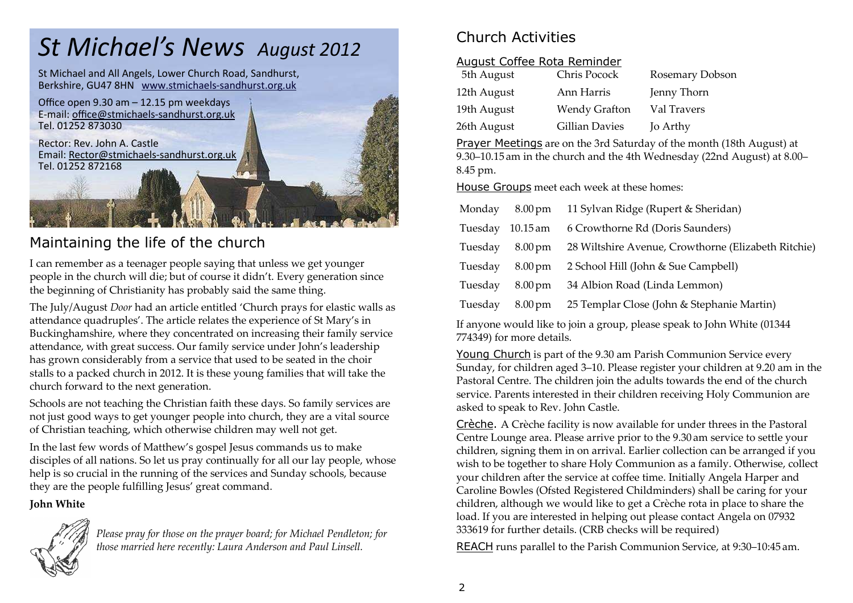# *St Michael's News August 2012*

St Michael and All Angels, Lower Church Road, Sandhurst, Berkshire, GU47 8HN www.stmichaels-sandhurst.org.uk



# Maintaining the life of the church

I can remember as a teenager people saying that unless we get younger people in the church will die; but of course it didn't. Every generation since the beginning of Christianity has probably said the same thing.

The July/August *Door* had an article entitled 'Church prays for elastic walls as attendance quadruples'. The article relates the experience of St Mary's in Buckinghamshire, where they concentrated on increasing their family service attendance, with great success. Our family service under John's leadership has grown considerably from a service that used to be seated in the choir stalls to a packed church in 2012. It is these young families that will take the church forward to the next generation.

Schools are not teaching the Christian faith these days. So family services are not just good ways to get younger people into church, they are a vital source of Christian teaching, which otherwise children may well not get.

In the last few words of Matthew's gospel Jesus commands us to make disciples of all nations. So let us pray continually for all our lay people, whose help is so crucial in the running of the services and Sunday schools, because they are the people fulfilling Jesus' great command.

**John White**



*Please pray for those on the prayer board; for Michael Pendleton; for those married here recently: Laura Anderson and Paul Linsell.* 

# Church Activities

### August Coffee Rota Reminder

| 5th August  | Chris Pocock          | Rosemary Dobson |
|-------------|-----------------------|-----------------|
| 12th August | Ann Harris            | Jenny Thorn     |
| 19th August | <b>Wendy Grafton</b>  | Val Travers     |
| 26th August | <b>Gillian Davies</b> | Jo Arthy        |

Prayer Meetings are on the 3rd Saturday of the month (18th August) at 9.30–10.15 am in the church and the 4th Wednesday (22nd August) at 8.00– 8.45 pm.

House Groups meet each week at these homes:

| Monday  | $8.00 \,\mathrm{pm}$ | 11 Sylvan Ridge (Rupert & Sheridan)                 |
|---------|----------------------|-----------------------------------------------------|
| Tuesday | $10.15$ am           | 6 Crowthorne Rd (Doris Saunders)                    |
| Tuesday | $8.00 \,\mathrm{pm}$ | 28 Wiltshire Avenue, Crowthorne (Elizabeth Ritchie) |
| Tuesday | $8.00 \,\mathrm{pm}$ | 2 School Hill (John & Sue Campbell)                 |
| Tuesday | $8.00 \,\mathrm{pm}$ | 34 Albion Road (Linda Lemmon)                       |
| Tuesday | $8.00 \,\mathrm{pm}$ | 25 Templar Close (John & Stephanie Martin)          |

If anyone would like to join a group, please speak to John White (01344 774349) for more details.

Young Church is part of the 9.30 am Parish Communion Service every Sunday, for children aged 3–10. Please register your children at 9.20 am in the Pastoral Centre. The children join the adults towards the end of the church service. Parents interested in their children receiving Holy Communion are asked to speak to Rev. John Castle.

Crèche. A Crèche facility is now available for under threes in the Pastoral Centre Lounge area. Please arrive prior to the 9.30 am service to settle your children, signing them in on arrival. Earlier collection can be arranged if you wish to be together to share Holy Communion as a family. Otherwise, collect your children after the service at coffee time. Initially Angela Harper and Caroline Bowles (Ofsted Registered Childminders) shall be caring for your children, although we would like to get a Crèche rota in place to share the load. If you are interested in helping out please contact Angela on 07932 333619 for further details. (CRB checks will be required)

REACH runs parallel to the Parish Communion Service, at 9:30–10:45 am.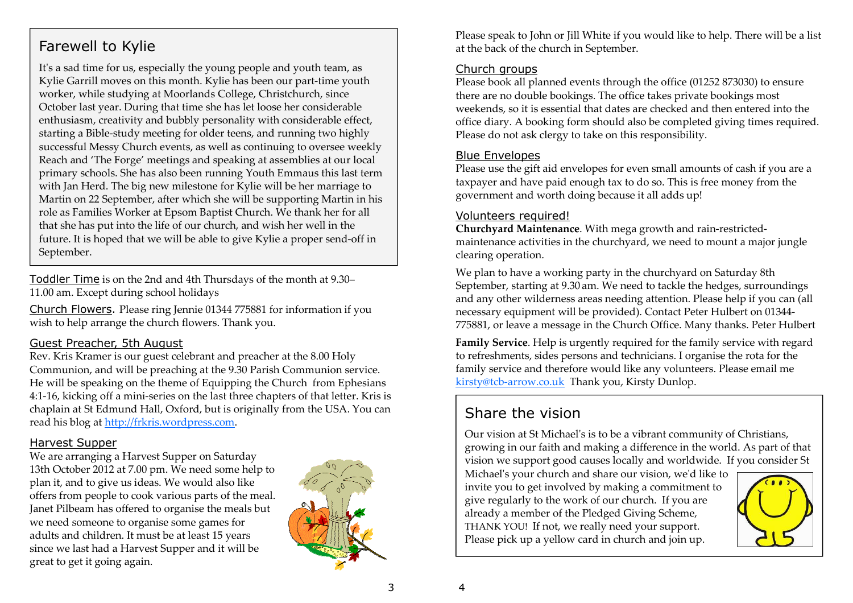# Farewell to Kylie

It's a sad time for us, especially the young people and youth team, as Kylie Garrill moves on this month. Kylie has been our part-time youth worker, while studying at Moorlands College, Christchurch, since October last year. During that time she has let loose her considerable enthusiasm, creativity and bubbly personality with considerable effect, starting a Bible-study meeting for older teens, and running two highly successful Messy Church events, as well as continuing to oversee weekly Reach and 'The Forge' meetings and speaking at assemblies at our local primary schools. She has also been running Youth Emmaus this last term with Jan Herd. The big new milestone for Kylie will be her marriage to Martin on 22 September, after which she will be supporting Martin in his role as Families Worker at Epsom Baptist Church. We thank her for all that she has put into the life of our church, and wish her well in the future. It is hoped that we will be able to give Kylie a proper send-off in September.

Toddler Time is on the 2nd and 4th Thursdays of the month at 9.30–11.00 am. Except during school holidays

Church Flowers. Please ring Jennie 01344 775881 for information if you wish to help arrange the church flowers. Thank you.

#### Guest Preacher, 5th August

 Rev. Kris Kramer is our guest celebrant and preacher at the 8.00 Holy Communion, and will be preaching at the 9.30 Parish Communion service. He will be speaking on the theme of Equipping the Church from Ephesians 4:1-16, kicking off a mini-series on the last three chapters of that letter. Kris is chaplain at St Edmund Hall, Oxford, but is originally from the USA. You can read his blog at http://frkris.wordpress.com.

#### Harvest Supper

 We are arranging a Harvest Supper on Saturday 13th October 2012 at 7.00 pm. We need some help to plan it, and to give us ideas. We would also like offers from people to cook various parts of the meal. Janet Pilbeam has offered to organise the meals butwe need someone to organise some games for adults and children. It must be at least 15 years since we last had a Harvest Supper and it will be great to get it going again.



Please speak to John or Jill White if you would like to help. There will be a list at the back of the church in September.

#### Church groups

 Please book all planned events through the office (01252 873030) to ensure there are no double bookings. The office takes private bookings most weekends, so it is essential that dates are checked and then entered into the office diary. A booking form should also be completed giving times required. Please do not ask clergy to take on this responsibility.

#### Blue Envelopes

 Please use the gift aid envelopes for even small amounts of cash if you are a taxpayer and have paid enough tax to do so. This is free money from the government and worth doing because it all adds up!

#### Volunteers required!

 **Churchyard Maintenance**. With mega growth and rain-restrictedmaintenance activities in the churchyard, we need to mount a major jungle clearing operation.

We plan to have a working party in the churchyard on Saturday 8th September, starting at 9.30 am. We need to tackle the hedges, surroundings and any other wilderness areas needing attention. Please help if you can (all necessary equipment will be provided). Contact Peter Hulbert on 01344-775881, or leave a message in the Church Office. Many thanks. Peter Hulbert

**Family Service**. Help is urgently required for the family service with regard to refreshments, sides persons and technicians. I organise the rota for the family service and therefore would like any volunteers. Please email me kirsty@tcb-arrow.co.uk Thank you, Kirsty Dunlop.

# Share the vision

Our vision at St Michaelʹs is to be a vibrant community of Christians, growing in our faith and making a difference in the world. As part of that vision we support good causes locally and worldwide. If you consider St

Michaelʹs your church and share our vision, weʹd like to invite you to get involved by making a commitment to give regularly to the work of our church. If you are already a member of the Pledged Giving Scheme, THANK YOU! If not, we really need your support. Please pick up a yellow card in church and join up.



4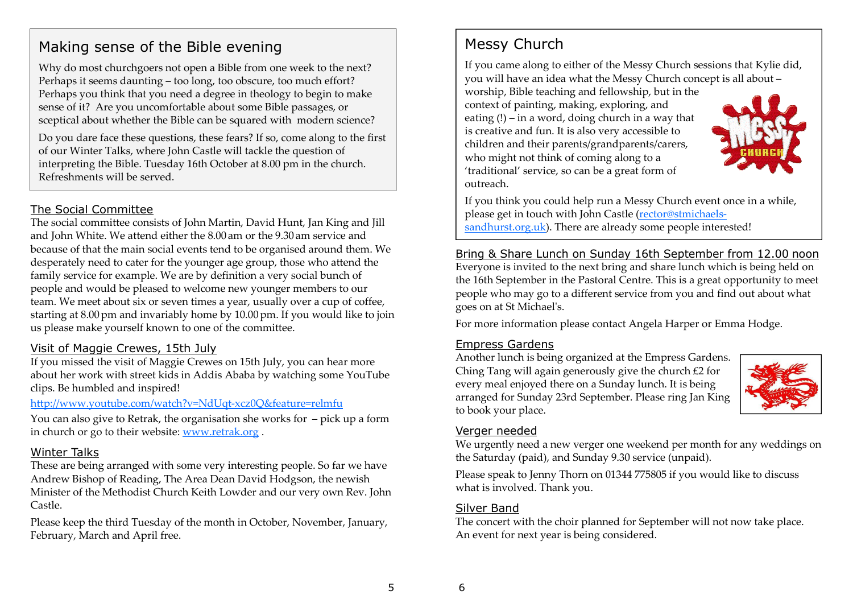# Making sense of the Bible evening

Why do most churchgoers not open a Bible from one week to the next? Perhaps it seems daunting – too long, too obscure, too much effort? Perhaps you think that you need a degree in theology to begin to make sense of it? Are you uncomfortable about some Bible passages, or sceptical about whether the Bible can be squared with modern science?

Do you dare face these questions, these fears? If so, come along to the first of our Winter Talks, where John Castle will tackle the question of interpreting the Bible. Tuesday 16th October at 8.00 pm in the church. Refreshments will be served.

### The Social Committee

 The social committee consists of John Martin, David Hunt, Jan King and Jill and John White. We attend either the 8.00 am or the 9.30 am service and because of that the main social events tend to be organised around them. We desperately need to cater for the younger age group, those who attend the family service for example. We are by definition a very social bunch of people and would be pleased to welcome new younger members to our team. We meet about six or seven times a year, usually over a cup of coffee, starting at 8.00pm and invariably home by 10.00pm. If you would like to join us please make yourself known to one of the committee.

### Visit of Maggie Crewes, 15th July

 If you missed the visit of Maggie Crewes on 15th July, you can hear more about her work with street kids in Addis Ababa by watching some YouTube clips. Be humbled and inspired!

#### http://www.youtube.com/watch?v=NdUqt-xcz0Q&feature=relmfu

 You can also give to Retrak, the organisation she works for – pick up a form in church or go to their website: www.retrak.org .

#### Winter Talks

 These are being arranged with some very interesting people. So far we have Andrew Bishop of Reading, The Area Dean David Hodgson, the newish Minister of the Methodist Church Keith Lowder and our very own Rev. John Castle.

Please keep the third Tuesday of the month in October, November, January, February, March and April free.

# Messy Church

If you came along to either of the Messy Church sessions that Kylie did, you will have an idea what the Messy Church concept is all about –

worship, Bible teaching and fellowship, but in the context of painting, making, exploring, and eating (!) – in a word, doing church in a way that is creative and fun. It is also very accessible to children and their parents/grandparents/carers, who might not think of coming along to a 'traditional' service, so can be a great form of outreach.



If you think you could help run a Messy Church event once in a while, please get in touch with John Castle (rector@stmichaelssandhurst.org.uk). There are already some people interested!

### Bring & Share Lunch on Sunday 16th September from 12.00 noon

Everyone is invited to the next bring and share lunch which is being held on the 16th September in the Pastoral Centre. This is a great opportunity to meet people who may go to a different service from you and find out about what goes on at St Michaelʹs.

For more information please contact Angela Harper or Emma Hodge.

#### Empress Gardens

 Another lunch is being organized at the Empress Gardens. Ching Tang will again generously give the church £2 for every meal enjoyed there on a Sunday lunch. It is being arranged for Sunday 23rd September. Please ring Jan King to book your place.



#### Verger needed

 We urgently need a new verger one weekend per month for any weddings on the Saturday (paid), and Sunday 9.30 service (unpaid).

Please speak to Jenny Thorn on 01344 775805 if you would like to discuss what is involved. Thank you.

#### Silver Band

 The concert with the choir planned for September will not now take place. An event for next year is being considered.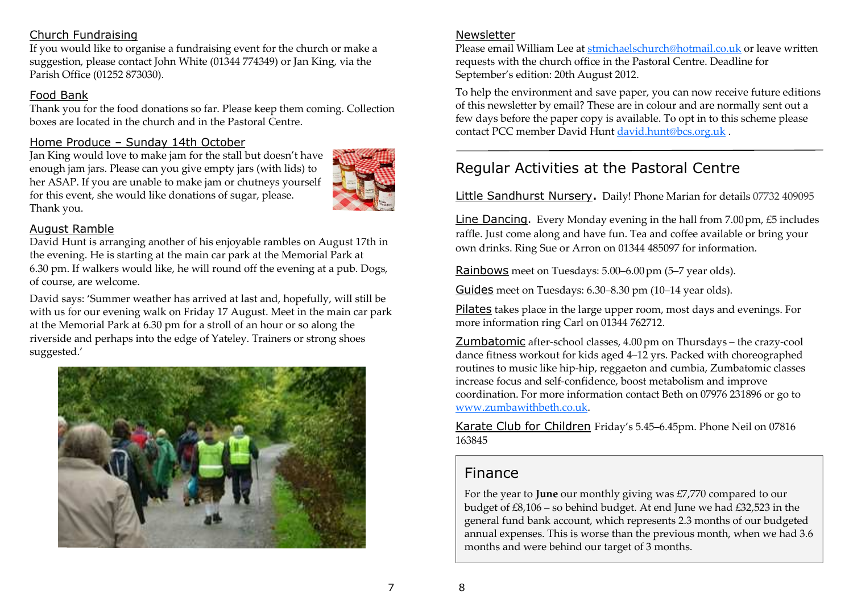### Church Fundraising

 If you would like to organise a fundraising event for the church or make a suggestion, please contact John White (01344 774349) or Jan King, via the Parish Office (01252 873030).

### Food Bank

 Thank you for the food donations so far. Please keep them coming. Collection boxes are located in the church and in the Pastoral Centre.

### Home Produce – Sunday 14th October

 Jan King would love to make jam for the stall but doesn't have enough jam jars. Please can you give empty jars (with lids) to her ASAP. If you are unable to make jam or chutneys yourself for this event, she would like donations of sugar, please. Thank you.



### August Ramble

 David Hunt is arranging another of his enjoyable rambles on August 17th in the evening. He is starting at the main car park at the Memorial Park at 6.30 pm. If walkers would like, he will round off the evening at a pub. Dogs, of course, are welcome.

David says: 'Summer weather has arrived at last and, hopefully, will still be with us for our evening walk on Friday 17 August. Meet in the main car park at the Memorial Park at 6.30 pm for a stroll of an hour or so along the riverside and perhaps into the edge of Yateley. Trainers or strong shoes suggested.'



### Newsletter

 Please email William Lee at stmichaelschurch@hotmail.co.uk or leave written requests with the church office in the Pastoral Centre. Deadline for September's edition: 20th August 2012.

To help the environment and save paper, you can now receive future editions of this newsletter by email? These are in colour and are normally sent out a few days before the paper copy is available. To opt in to this scheme please contact PCC member David Hunt david.hunt@bcs.org.uk .

# Regular Activities at the Pastoral Centre

### Little Sandhurst Nursery. Daily! Phone Marian for details 07732 409095

Line Dancing. Every Monday evening in the hall from 7.00pm, £5 includes raffle. Just come along and have fun. Tea and coffee available or bring your own drinks. Ring Sue or Arron on 01344 485097 for information.

Rainbows meet on Tuesdays: 5.00–6.00pm (5–7 year olds).

Guides meet on Tuesdays: 6.30–8.30 pm (10–14 year olds).

Pilates takes place in the large upper room, most days and evenings. For more information ring Carl on 01344 762712.

Zumbatomic after-school classes, 4.00pm on Thursdays – the crazy-cool dance fitness workout for kids aged 4–12 yrs. Packed with choreographed routines to music like hip-hip, reggaeton and cumbia, Zumbatomic classes increase focus and self-confidence, boost metabolism and improve coordination. For more information contact Beth on 07976 231896 or go to www.zumbawithbeth.co.uk.

Karate Club for Children Friday's 5.45–6.45pm. Phone Neil on 07816<br>1 163845

# Finance

For the year to **June** our monthly giving was £7,770 compared to our budget of £8,106 – so behind budget. At end June we had £32,523 in the general fund bank account, which represents 2.3 months of our budgeted annual expenses. This is worse than the previous month, when we had 3.6 months and were behind our target of 3 months.

8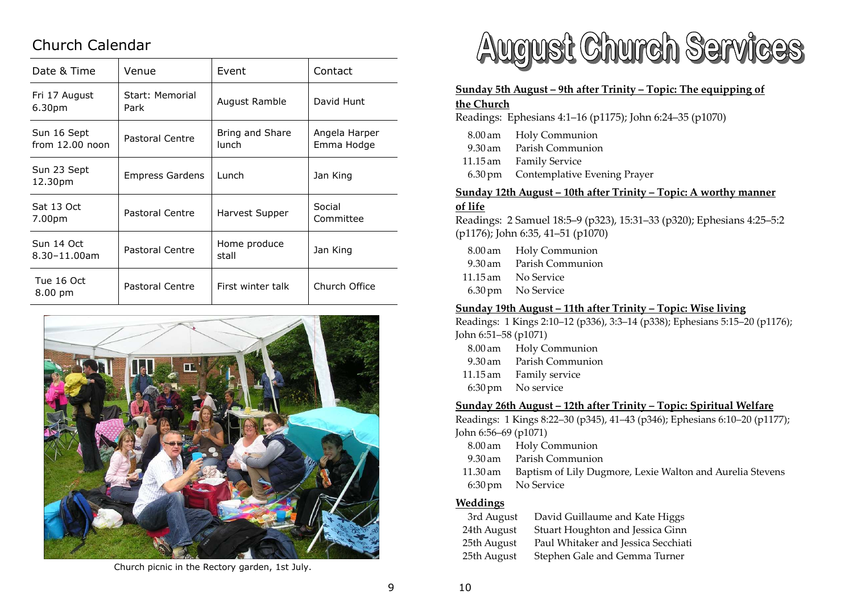# Church Calendar

| Date & Time                      | Venue                   | Event                           | Contact                     |
|----------------------------------|-------------------------|---------------------------------|-----------------------------|
| Fri 17 August<br>6.30pm          | Start: Memorial<br>Park | August Ramble                   | David Hunt                  |
| Sun 16 Sept<br>from $12.00$ noon | Pastoral Centre         | Bring and Share<br><b>lunch</b> | Angela Harper<br>Emma Hodge |
| Sun 23 Sept<br>12.30pm           | Empress Gardens         | Lunch                           | Jan King                    |
| Sat 13 Oct<br>7.00pm             | Pastoral Centre         | Harvest Supper                  | Social<br>Committee         |
| Sun 14 Oct<br>$8.30 - 11.00$ am  | Pastoral Centre         | Home produce<br>stall           | Jan King                    |
| Tue 16 Oct<br>8.00 pm            | Pastoral Centre         | First winter talk               | Church Office               |



Church picnic in the Rectory garden, 1st July.



#### **Sunday 5th August – 9th after Trinity – Topic: The equipping of**

#### **the Church**

Readings: Ephesians 4:1–16 (p1175); John 6:24–35 (p1070)

- 8.00**Holy Communion** 9.30 am Parish Communion
- 11.15 am Family Service
- 6.30pm Contemplative Evening Prayer

#### **Sunday 12th August – 10th after Trinity – Topic: A worthy manner**

#### **of life**

 Readings: 2 Samuel 18:5–9 (p323), 15:31–33 (p320); Ephesians 4:25–5:2 (p1176); John 6:35, 41–51 (p1070)

 8.00**Holy Communion**  9.30Parish Communion 11.15 am No Service 6.30pm No Service

#### **Sunday 19th August – 11th after Trinity – Topic: Wise living**

Readings: 1 Kings 2:10–12 (p336), 3:3–14 (p338); Ephesians 5:15–20 (p1176); John 6:51–58 (p1071)

- 8.00 am Holy Communion
- 9.30Parish Communion
- 11.15 am Family service
- 6:30pm No service

#### **Sunday 26th August – 12th after Trinity – Topic: Spiritual Welfare**

Readings: 1 Kings 8:22–30 (p345), 41–43 (p346); Ephesians 6:10–20 (p1177); John 6:56–69 (p1071)

- 8.00 am Holy Communion
- 9.30Parish Communion
- 11.3011.30 am Baptism of Lily Dugmore, Lexie Walton and Aurelia Stevens<br>6:30 pm No Service No Service

#### **Weddings**

| 3rd August  | David Guillaume and Kate Higgs      |
|-------------|-------------------------------------|
| 24th August | Stuart Houghton and Jessica Ginn    |
| 25th August | Paul Whitaker and Jessica Secchiati |
| 25th August | Stephen Gale and Gemma Turner       |